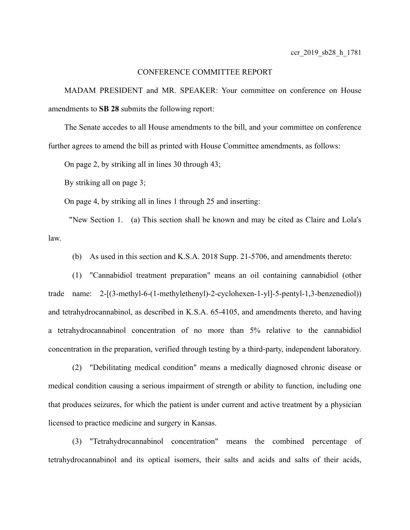## CONFERENCE COMMITTEE REPORT

MADAM PRESIDENT and MR. SPEAKER: Your committee on conference on House amendments to **SB 28** submits the following report:

The Senate accedes to all House amendments to the bill, and your committee on conference further agrees to amend the bill as printed with House Committee amendments, as follows:

On page 2, by striking all in lines 30 through 43;

By striking all on page 3;

On page 4, by striking all in lines 1 through 25 and inserting:

 "New Section 1. (a) This section shall be known and may be cited as Claire and Lola's law.

(b) As used in this section and K.S.A. 2018 Supp. 21-5706, and amendments thereto:

(1) "Cannabidiol treatment preparation" means an oil containing cannabidiol (other trade name: 2-[(3-methyl-6-(1-methylethenyl)-2-cyclohexen-1-yl]-5-pentyl-1,3-benzenediol)) and tetrahydrocannabinol, as described in K.S.A. 65-4105, and amendments thereto, and having a tetrahydrocannabinol concentration of no more than 5% relative to the cannabidiol concentration in the preparation, verified through testing by a third-party, independent laboratory.

(2) "Debilitating medical condition" means a medically diagnosed chronic disease or medical condition causing a serious impairment of strength or ability to function, including one that produces seizures, for which the patient is under current and active treatment by a physician licensed to practice medicine and surgery in Kansas.

(3) "Tetrahydrocannabinol concentration" means the combined percentage of tetrahydrocannabinol and its optical isomers, their salts and acids and salts of their acids,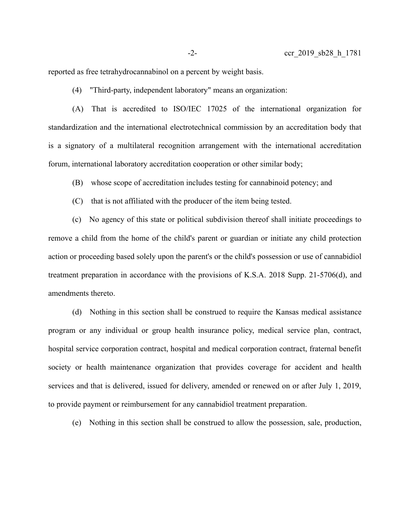reported as free tetrahydrocannabinol on a percent by weight basis.

(4) "Third-party, independent laboratory" means an organization:

(A) That is accredited to ISO/IEC 17025 of the international organization for standardization and the international electrotechnical commission by an accreditation body that is a signatory of a multilateral recognition arrangement with the international accreditation forum, international laboratory accreditation cooperation or other similar body;

(B) whose scope of accreditation includes testing for cannabinoid potency; and

(C) that is not affiliated with the producer of the item being tested.

(c) No agency of this state or political subdivision thereof shall initiate proceedings to remove a child from the home of the child's parent or guardian or initiate any child protection action or proceeding based solely upon the parent's or the child's possession or use of cannabidiol treatment preparation in accordance with the provisions of K.S.A. 2018 Supp. 21-5706(d), and amendments thereto.

(d) Nothing in this section shall be construed to require the Kansas medical assistance program or any individual or group health insurance policy, medical service plan, contract, hospital service corporation contract, hospital and medical corporation contract, fraternal benefit society or health maintenance organization that provides coverage for accident and health services and that is delivered, issued for delivery, amended or renewed on or after July 1, 2019, to provide payment or reimbursement for any cannabidiol treatment preparation.

(e) Nothing in this section shall be construed to allow the possession, sale, production,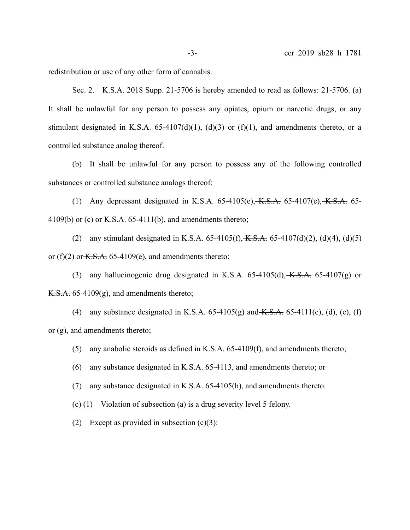redistribution or use of any other form of cannabis.

Sec. 2. K.S.A. 2018 Supp. 21-5706 is hereby amended to read as follows: 21-5706. (a) It shall be unlawful for any person to possess any opiates, opium or narcotic drugs, or any stimulant designated in K.S.A.  $65-4107(d)(1)$ ,  $(d)(3)$  or  $(f)(1)$ , and amendments thereto, or a controlled substance analog thereof.

(b) It shall be unlawful for any person to possess any of the following controlled substances or controlled substance analogs thereof:

(1) Any depressant designated in K.S.A.  $65-4105(e)$ , K.S.A.  $65-4107(e)$ , K.S.A.  $65-$ 4109(b) or (c) or  $K.S.A. 65-4111(b)$ , and amendments thereto;

(2) any stimulant designated in K.S.A. 65-4105(f),  $K.S.A.$  65-4107(d)(2), (d)(4), (d)(5) or (f)(2) or  $K.S.A.$  65-4109(e), and amendments thereto;

(3) any hallucinogenic drug designated in K.S.A.  $65-4105(d)$ ,  $K.S.A.$   $65-4107(g)$  or  $K.S.A. 65-4109(g)$ , and amendments thereto;

(4) any substance designated in K.S.A.  $65-4105(g)$  and  $K.S.A.$   $65-4111(c)$ , (d), (e), (f) or (g), and amendments thereto;

(5) any anabolic steroids as defined in K.S.A. 65-4109(f), and amendments thereto;

(6) any substance designated in K.S.A. 65-4113, and amendments thereto; or

(7) any substance designated in K.S.A. 65-4105(h), and amendments thereto.

(c) (1) Violation of subsection (a) is a drug severity level 5 felony.

(2) Except as provided in subsection  $(c)(3)$ :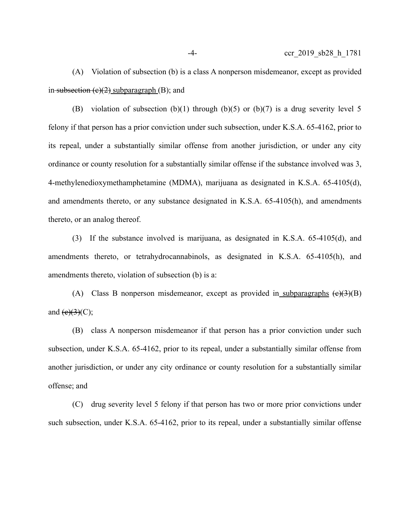(A) Violation of subsection (b) is a class A nonperson misdemeanor, except as provided in subsection  $(e)(2)$  subparagraph  $(B)$ ; and

(B) violation of subsection (b)(1) through (b)(5) or (b)(7) is a drug severity level 5 felony if that person has a prior conviction under such subsection, under K.S.A. 65-4162, prior to its repeal, under a substantially similar offense from another jurisdiction, or under any city ordinance or county resolution for a substantially similar offense if the substance involved was 3, 4-methylenedioxymethamphetamine (MDMA), marijuana as designated in K.S.A. 65-4105(d), and amendments thereto, or any substance designated in K.S.A. 65-4105(h), and amendments thereto, or an analog thereof.

(3) If the substance involved is marijuana, as designated in K.S.A. 65-4105(d), and amendments thereto, or tetrahydrocannabinols, as designated in K.S.A. 65-4105(h), and amendments thereto, violation of subsection (b) is a:

(A) Class B nonperson misdemeanor, except as provided in subparagraphs  $(e)(3)(B)$ and  $(e)(3)(C)$ ;

(B) class A nonperson misdemeanor if that person has a prior conviction under such subsection, under K.S.A. 65-4162, prior to its repeal, under a substantially similar offense from another jurisdiction, or under any city ordinance or county resolution for a substantially similar offense; and

(C) drug severity level 5 felony if that person has two or more prior convictions under such subsection, under K.S.A. 65-4162, prior to its repeal, under a substantially similar offense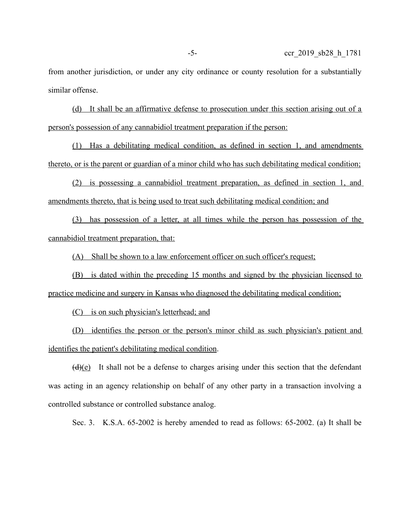from another jurisdiction, or under any city ordinance or county resolution for a substantially similar offense.

 (d) It shall be an affirmative defense to prosecution under this section arising out of a person's possession of any cannabidiol treatment preparation if the person :

 (1) Has a debilitating medical condition, as defined in section 1, and amendments thereto, or is the parent or guardian of a minor child who has such debilitating medical condition;

(2) is possessing a cannabidiol treatment preparation, as defined in section 1, and amendments thereto, that is being used to treat such debilitating medical condition; and

 (3) has possession of a letter, at all times while the person has possession of the cannabidiol treatment preparation, that:

(A) Shall be shown to a law enforcement officer on such officer's request;

(B) is dated within the preceding 15 months and signed by the physician licensed to practice medicine and surgery in Kansas who diagnosed the debilitating medical condition;

(C) is on such physician's letterhead; and

 (D) identifies the person or the person's minor child as such physician's patient and identifies the patient's debilitating medical condition.

 $(d)(e)$  It shall not be a defense to charges arising under this section that the defendant was acting in an agency relationship on behalf of any other party in a transaction involving a controlled substance or controlled substance analog.

Sec. 3. K.S.A. 65-2002 is hereby amended to read as follows: 65-2002. (a) It shall be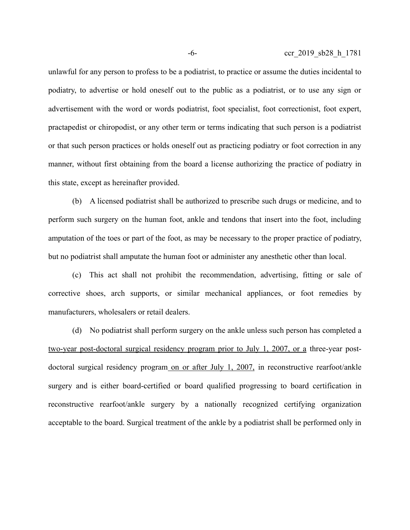unlawful for any person to profess to be a podiatrist, to practice or assume the duties incidental to podiatry, to advertise or hold oneself out to the public as a podiatrist, or to use any sign or advertisement with the word or words podiatrist, foot specialist, foot correctionist, foot expert, practapedist or chiropodist, or any other term or terms indicating that such person is a podiatrist or that such person practices or holds oneself out as practicing podiatry or foot correction in any manner, without first obtaining from the board a license authorizing the practice of podiatry in this state, except as hereinafter provided.

(b) A licensed podiatrist shall be authorized to prescribe such drugs or medicine, and to perform such surgery on the human foot, ankle and tendons that insert into the foot, including amputation of the toes or part of the foot, as may be necessary to the proper practice of podiatry, but no podiatrist shall amputate the human foot or administer any anesthetic other than local.

(c) This act shall not prohibit the recommendation, advertising, fitting or sale of corrective shoes, arch supports, or similar mechanical appliances, or foot remedies by manufacturers, wholesalers or retail dealers.

(d) No podiatrist shall perform surgery on the ankle unless such person has completed a two-year post-doctoral surgical residency program prior to July 1, 2007, or a three-year postdoctoral surgical residency program on or after July 1, 2007, in reconstructive rearfoot/ankle surgery and is either board-certified or board qualified progressing to board certification in reconstructive rearfoot/ankle surgery by a nationally recognized certifying organization acceptable to the board. Surgical treatment of the ankle by a podiatrist shall be performed only in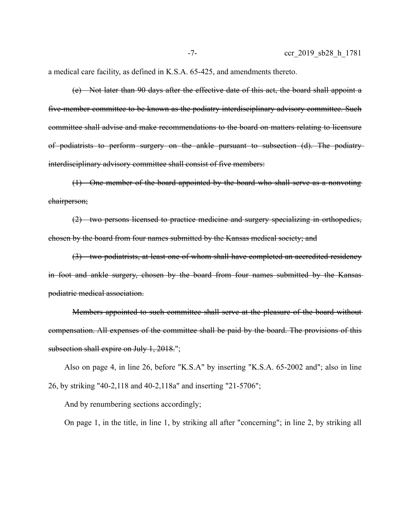a medical care facility, as defined in K.S.A. 65-425, and amendments thereto.

(e) Not later than 90 days after the effective date of this act, the board shall appoint a five-member committee to be known as the podiatry interdisciplinary advisory committee. Such committee shall advise and make recommendations to the board on matters relating to licensure of podiatrists to perform surgery on the ankle pursuant to subsection (d). The podiatry interdisciplinary advisory committee shall consist of five members:

(1) One member of the board appointed by the board who shall serve as a nonvoting chairperson;

(2) two persons licensed to practice medicine and surgery specializing in orthopedics, chosen by the board from four names submitted by the Kansas medical society; and

(3) two podiatrists, at least one of whom shall have completed an accredited residency in foot and ankle surgery, chosen by the board from four names submitted by the Kansas podiatric medical association.

Members appointed to such committee shall serve at the pleasure of the board without compensation. All expenses of the committee shall be paid by the board. The provisions of this subsection shall expire on July 1, 2018.";

Also on page 4, in line 26, before "K.S.A" by inserting "K.S.A. 65-2002 and"; also in line 26, by striking "40-2,118 and 40-2,118a" and inserting "21-5706";

And by renumbering sections accordingly;

On page 1, in the title, in line 1, by striking all after "concerning"; in line 2, by striking all